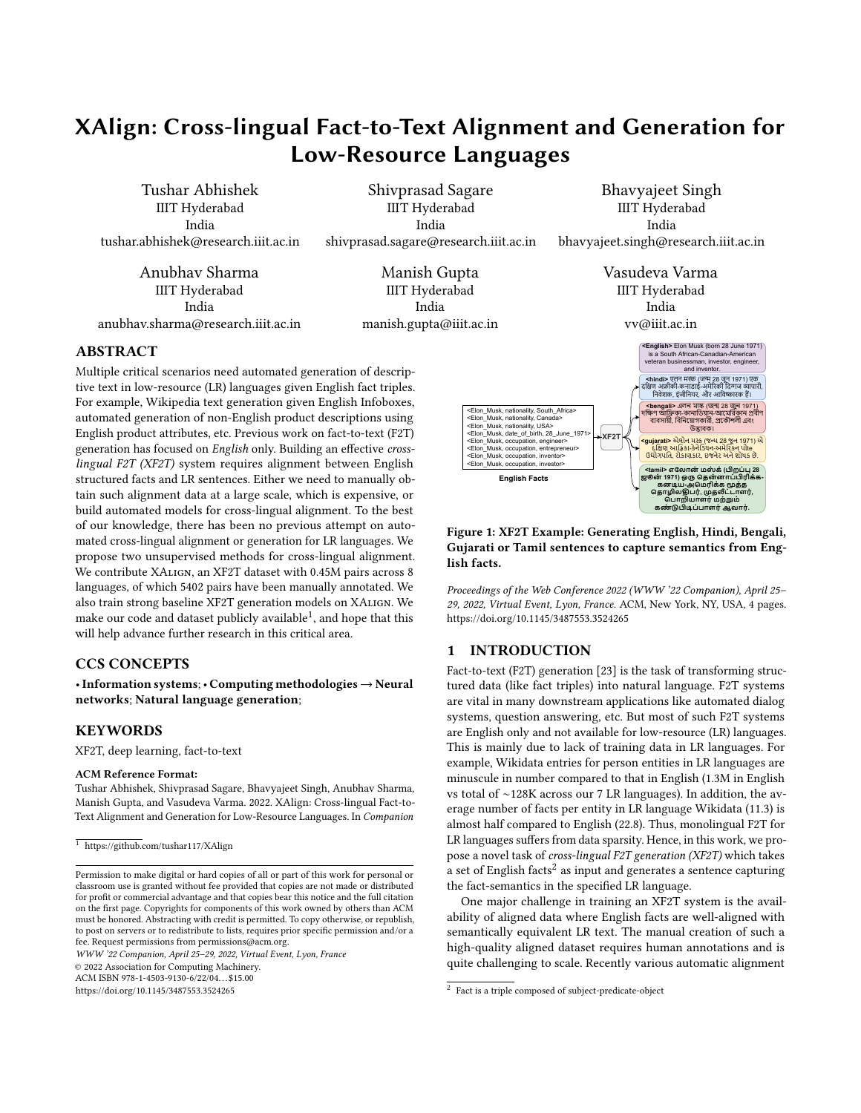# <span id="page-0-2"></span>XAlign: Cross-lingual Fact-to-Text Alignment and Generation for Low-Resource Languages

Tushar Abhishek IIIT Hyderabad India tushar.abhishek@research.iiit.ac.in

Shivprasad Sagare IIIT Hyderabad India shivprasad.sagare@research.iiit.ac.in

Anubhav Sharma IIIT Hyderabad India anubhav.sharma@research.iiit.ac.in

Manish Gupta IIIT Hyderabad India manish.gupta@iiit.ac.in

Bhavyajeet Singh IIIT Hyderabad India bhavyajeet.singh@research.iiit.ac.in

> Vasudeva Varma IIIT Hyderabad India vv@iiit.ac.in

> > **<bengali>** এলন মাঙ্ক (জন্ম 28 জুন 1971)<br>ক্ষণ আফ্রিকা-কানাডিয়ান-আমেরিকান প্রবীণ<br>ব্যবসায়ী, বিনিয়োগকারী, প্রকৌশলী এবং<br>উদ্ভাবক।

**<English>** Elon Musk (born 28 June 1971) is a South African-Canadian-American veteran businessman, investor, engineer, and inventor.<br><hindi> एलन मस्क (जन्म २८ जून १९७१) एक

# <span id="page-0-1"></span>ABSTRACT

Multiple critical scenarios need automated generation of descriptive text in low-resource (LR) languages given English fact triples. For example, Wikipedia text generation given English Infoboxes, automated generation of non-English product descriptions using English product attributes, etc. Previous work on fact-to-text (F2T) generation has focused on English only. Building an effective crosslingual F2T (XF2T) system requires alignment between English structured facts and LR sentences. Either we need to manually obtain such alignment data at a large scale, which is expensive, or build automated models for cross-lingual alignment. To the best of our knowledge, there has been no previous attempt on automated cross-lingual alignment or generation for LR languages. We propose two unsupervised methods for cross-lingual alignment. We contribute XAlign, an XF2T dataset with 0.45M pairs across 8 languages, of which 5402 pairs have been manually annotated. We also train strong baseline XF2T generation models on XAlign. We make our code and dataset publicly available $^1$ , and hope that this will help advance further research in this critical area.

# CCS CONCEPTS

•Information systems; • Computing methodologies <sup>→</sup> Neural networks; Natural language generation;

# **KEYWORDS**

XF2T, deep learning, fact-to-text

#### ACM Reference Format:

Tushar Abhishek, Shivprasad Sagare, Bhavyajeet Singh, Anubhav Sharma, Manish Gupta, and Vasudeva Varma. 2022. XAlign: Cross-lingual Fact-to-Text Alignment and Generation for Low-Resource Languages. In Companion

WWW '22 Companion, April 25–29, 2022, Virtual Event, Lyon, France

© 2022 Association for Computing Machinery.

ACM ISBN 978-1-4503-9130-6/22/04...\$15.00

<https://doi.org/10.1145/3487553.3524265>



**XF2T**

Proceedings of the Web Conference 2022 (WWW '22 Companion), April 25– 29, 2022, Virtual Event, Lyon, France. ACM, New York, NY, USA, [4](#page-3-0) pages. https://doi.org/10.1145/3487553.3524265

# 1 INTRODUCTION

<Elon\_Musk, nationality, South\_Africa><br><Elon\_Musk, nationality, Canada><br><Elon\_Musk, nationality, USA><br><Elon\_Musk, date\_of\_birth, 28\_June\_1971><br><Flom\_Musk, occupation, entrepreneur><br><Flom\_Musk, occupation, entrepreneur><br><F

**English Facts**

<span id="page-0-0"></span>Example: Generating English, Hindi, Bengtang Sample: Content and Samples and the search of the search of the search of the search of the search of the search of the search of the search of the search of the search of the s दक्षिण अफ्रीकी-कनाडाई-अमेरिकी दिग्गज व्यापारी, *Estarting South African*<br>
<br> **Altro Angle South Africa**<br>
<br> **Altro Angle South Africa**<br> **Altro Angle South Africa**<br>
<br> **Altro Angle South African South Africa**<br>
<br> **Altro Angle South African South Africa Big (1971)<br>
<br>
<b>Al** Africa<br>
Michara<br>
Michael Strain (Separation and Michael Strain and Michael Strain and Michael Strain and Michael Strain and Michael Strain (Separation and Michael Strain)<br>
Michael Strain (Separation and Michael Strain) (S **EXECUTE:**<br> **EXECUTE:**<br> **EXECUTE:**<br> **EXECUTE:**<br> **EXECUTE:**<br> **EXECUTE:**<br> **EXECUTE:**<br> **EXECUTE:**<br> **EXECUTE:**<br> **EXECUTE:**<br> **EXECUTE:**<br> **EXECUTE:**<br> **EXECUTE:**<br> **EXECUTE:**<br> **EXECUTE:**<br> **EXECUTE:**<br> **EXECUTE:**<br> **EXECUTE:**<br> **EX** (Figure 1: MF2CD manning states)<br>
And the solution of the solution of the solution of the solution of the solution of the solution of the solution of the solution of the solution of the solution of the solution of the s EPRINTER SERVICE TO THE SERVICE TO THE SAMERA SERVICE TO THE SAMERA SERVICE TO THE SAMERA SERVICE TO THE SAMERA SERVICE TO THE SAMERA SERVICE TO THE SAMERA SERVICE TO THE SAMERA SERVICE TO THE SAMERA SERVICE TO THE SAMERA **EXERCT EXAMPLE CONSTRANGE IN the CONDUST of the SCALE of the CONFIGURE CONDICTION FOR DUPLIFICATION CONFIGURED TO DUCTION (F2T) generation [28] is the task of transforming standard Event, Lyon, France. ACM, New York, NY, English Facts**<br> **English Facts**<br> **Example:** Generating English, Hindi, Bengthen the state of Tamil sentences to capture semantics from E Guinear and the Web Conference 2022 (WWW 22 Companion). April 29, 2022, Virtual Even **Example:** Generating English, Hindi, Bernard Conference and Solutions of the Web Conference 2022 (WWW '22 Companion), Ap, 2022, Virtual Event, Lyon, France. ACM, New York, NY, USA, 4 thps://doi.org/10.1145/3487553.3524265 **1:** XF2T Example: Generating English, Hii or Tamil sentences to capture semantic ts.<br>
mgs of the Web Conference 2022 (WWW '22 Compant Virtual Event, Lyon, France. ACM, New York, NY, oi.org/10.1145/3487553.3524265<br> **TRODUC கண்டுபிடிப்பாளர்ஆவார்.** Also engines<br>
Also engines and the set of the set of the set of the set of the set of the set of the set of the set of the set of the set of the set of the set of the set of the set of the set of the set of the set of th **Example, and the second of the second in the second of the second and the second in the second in the second of the second in the second of the second of the second of the second of the second of the second of the seco Examples in the size of the vertext of the size of the vertext of the size of the Web Conference 2022 (WWW '22 Companion).**<br> **English Facts**<br> **English Facts**<br> **English Facts**<br> **English Facts**<br> **English Facts**<br> **English** Fact-to-text (F2T) generation [23] is the task of transforming structured data (like fact triples) into natural language. F2T systems are vital in many downstream applications like automated dialog systems, question answering, etc. But most of such F2T systems are English only and not available for low-resource (LR) languages. This is mainly due to lack of training data in LR languages. For example, Wikidata entries for person entities in LR languages are minuscule in number compared to that in English (1.3M in English vs total of ∼128K across our 7 LR languages). In addition, the average number of facts per entity in LR language Wikidata (11.3) is almost half compared to English (22.8). Thus, monolingual F2T for LR languages suffers from data sparsity. Hence, in this work, we propose a novel task of cross-lingual F2T generation (XF2T) which takes a set of English facts<sup>2</sup> as input and generates a sentence capturing the fact-semantics in the specified LR language.

One major challenge in training an XF2T system is the availability of aligned data where English facts are well-aligned with semantically equivalent LR text. The manual creation of such a high-quality aligned dataset requires human annotations and is quite challenging to scale. Recently various automatic alignment

 $\frac{1}{1}$  <https://github.com/tushar117/XAlign>

Permission to make digital or hard copies of all or part of this work for personal or classroom use is granted without fee provided that copies are not made or distributed for profit or commercial advantage and that copies bear this notice and the full citation on the first page. Copyrights for components of this work owned by others than ACM must be honored. Abstracting with credit is permitted. To copy otherwise, or republish, to post on servers or to redistribute to lists, requires prior specific permission and/or a fee. Request permissions from permissions@acm.org.

<sup>&</sup>lt;sup>2</sup> Fact is a triple composed of subject-predicate-object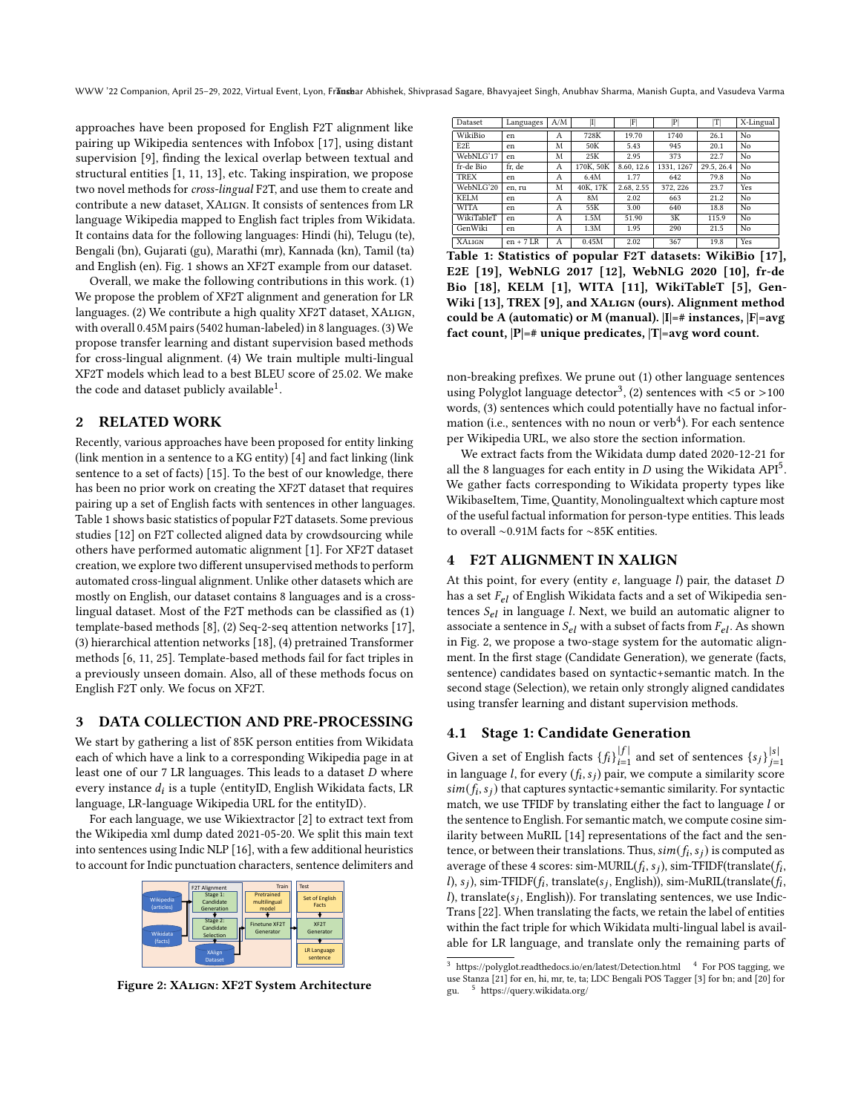WWW '22 Companion, April 25-29, 2022, Virtual Event, Lyon, Fransbar Abhishek, Shivprasad Sagare, Bhavyajeet Singh, Anubhav Sharma, Manish Gupta, and Vasudeva Varma

approaches have been proposed for English F2T alignment like pairing up Wikipedia sentences with Infobox [\[17\]](#page-3-2), using distant supervision [\[9\]](#page-3-3), finding the lexical overlap between textual and structural entities [\[1,](#page-3-4) [11,](#page-3-5) [13\]](#page-3-6), etc. Taking inspiration, we propose two novel methods for cross-lingual F2T, and use them to create and contribute a new dataset, XAlign. It consists of sentences from LR language Wikipedia mapped to English fact triples from Wikidata. It contains data for the following languages: Hindi (hi), Telugu (te), Bengali (bn), Gujarati (gu), Marathi (mr), Kannada (kn), Tamil (ta) and English (en). Fig. [1](#page-0-0) shows an XF2T example from our dataset.

Overall, we make the following contributions in this work. (1) We propose the problem of XF2T alignment and generation for LR languages. (2) We contribute a high quality XF2T dataset, XAlign, with overall 0.45M pairs (5402 human-labeled) in 8 languages. (3) We propose transfer learning and distant supervision based methods for cross-lingual alignment. (4) We train multiple multi-lingual XF2T models which lead to a best BLEU score of 25.02. We make the code and dataset publicly available $^1$  $^1$ .

# 2 RELATED WORK

Recently, various approaches have been proposed for entity linking (link mention in a sentence to a KG entity) [\[4\]](#page-3-7) and fact linking (link sentence to a set of facts) [\[15\]](#page-3-8). To the best of our knowledge, there has been no prior work on creating the XF2T dataset that requires pairing up a set of English facts with sentences in other languages. Table [1](#page-1-0) shows basic statistics of popular F2T datasets. Some previous studies [\[12\]](#page-3-9) on F2T collected aligned data by crowdsourcing while others have performed automatic alignment [\[1\]](#page-3-4). For XF2T dataset creation, we explore two different unsupervised methods to perform automated cross-lingual alignment. Unlike other datasets which are mostly on English, our dataset contains 8 languages and is a crosslingual dataset. Most of the F2T methods can be classified as (1) template-based methods [\[8\]](#page-3-10), (2) Seq-2-seq attention networks [\[17\]](#page-3-2), (3) hierarchical attention networks [\[18\]](#page-3-11), (4) pretrained Transformer methods [\[6,](#page-3-12) [11,](#page-3-5) [25\]](#page-3-13). Template-based methods fail for fact triples in a previously unseen domain. Also, all of these methods focus on English F2T only. We focus on XF2T.

#### 3 DATA COLLECTION AND PRE-PROCESSING

We start by gathering a list of 85K person entities from Wikidata each of which have a link to a corresponding Wikipedia page in at least one of our  $7$  LR languages. This leads to a dataset  $D$  where every instance  $d_i$  is a tuple  $\langle \text{entityID}, \text{English Wikidata facts}, \text{LR} \rangle$ language, LR-language Wikipedia URL for the entityID⟩.

For each language, we use Wikiextractor [\[2\]](#page-3-14) to extract text from the Wikipedia xml dump dated 2021-05-20. We split this main text into sentences using Indic NLP [\[16\]](#page-3-15), with a few additional heuristics to account for Indic punctuation characters, sentence delimiters and

<span id="page-1-1"></span>

Figure 2: XAlign: XF2T System Architecture

<span id="page-1-0"></span>

| Dataset          | Languages   | A/M | $\vert \text{I} \vert$ | F          | $ {\rm P} $ | ľΤ        | X-Lingual |
|------------------|-------------|-----|------------------------|------------|-------------|-----------|-----------|
| WikiBio          | en          | А   | 728K                   | 19.70      | 1740        | 26.1      | No        |
| E <sub>2</sub> E | en          | M   | 50K                    | 5.43       | 945         | 20.1      | No        |
| WebNLG'17        | en          | M   | 25K                    | 2.95       | 373         | 22.7      | No        |
| fr-de Bio        | fr. de      | А   | 170K, 50K              | 8.60, 12.6 | 1331, 1267  | 29.5.26.4 | No        |
| <b>TREX</b>      | en          | А   | 6.4M                   | 1.77       | 642         | 79.8      | No        |
| WebNLG'20        | en. ru      | M   | 40K, 17K               | 2.68, 2.55 | 372.226     | 23.7      | Yes       |
| <b>KELM</b>      | en          | А   | 8M                     | 2.02       | 663         | 21.2      | No        |
| <b>WITA</b>      | en          | А   | 55K                    | 3.00       | 640         | 18.8      | No        |
| WikiTableT       | en          | А   | 1.5M                   | 51.90      | 3K          | 115.9     | No        |
| GenWiki          | en          | А   | 1.3M                   | 1.95       | 290         | 21.5      | No        |
| <b>XALIGN</b>    | $en + 7 LR$ | А   | 0.45M                  | 2.02       | 367         | 19.8      | Yes       |

Table 1: Statistics of popular F2T datasets: WikiBio [\[17\]](#page-3-2), E2E [\[19\]](#page-3-16), WebNLG 2017 [\[12\]](#page-3-9), WebNLG 2020 [\[10\]](#page-3-17), fr-de Bio [\[18\]](#page-3-11), KELM [\[1\]](#page-3-4), WITA [\[11\]](#page-3-5), WikiTableT [\[5\]](#page-3-18), Gen-Wiki [\[13\]](#page-3-6), TREX [\[9\]](#page-3-3), and XALIGN (ours). Alignment method could be A (automatic) or M (manual).  $|I|=$ # instances,  $|F|=avg$ fact count,  $|P|=$ # unique predicates,  $|T|=$ avg word count.

non-breaking prefixes. We prune out (1) other language sentences using Polyglot language detector<sup>[3](#page-0-2)</sup>, (2) sentences with  $<$ 5 or >100 words, (3) sentences which could potentially have no factual infor-mation (i.e., sentences with no noun or verb<sup>[4](#page-0-2)</sup>). For each sentence per Wikipedia URL, we also store the section information.

We extract facts from the Wikidata dump dated 2020-12-21 for all the 8 languages for each entity in  $D$  using the Wikidata API<sup>[5](#page-0-2)</sup>. We gather facts corresponding to Wikidata property types like WikibaseItem, Time, Quantity, Monolingualtext which capture most of the useful factual information for person-type entities. This leads to overall ∼0.91M facts for ∼85K entities.

# 4 F2T ALIGNMENT IN XALIGN

At this point, for every (entity  $e$ , language  $l$ ) pair, the dataset  $D$ has a set  $F_{el}$  of English Wikidata facts and a set of Wikipedia sentences  $S_{el}$  in language *l*. Next, we build an automatic aligner to associate a sentence in  $S_{el}$  with a subset of facts from  $F_{el}$ . As shown in Fig. [2,](#page-1-1) we propose a two-stage system for the automatic alignment. In the first stage (Candidate Generation), we generate (facts, sentence) candidates based on syntactic+semantic match. In the second stage (Selection), we retain only strongly aligned candidates using transfer learning and distant supervision methods.

# 4.1 Stage 1: Candidate Generation

Given a set of English facts  $\{f_i\}_{i=1}^{|f|}$  and set of sentences  $\{s_j\}_{j=1}^{|s|}$ in language *l*, for every  $(f_i, s_j)$  pair, we compute a similarity score  $\mathit{sim}(f_i, s_j)$  that captures syntactic+semantic similarity. For syntactic match, we use TFIDF by translating either the fact to language  $l$  or the sentence to English. For semantic match, we compute cosine similarity between MuRIL [\[14\]](#page-3-19) representations of the fact and the sentence, or between their translations. Thus,  $\mathit{sim}(f_i, s_j)$  is computed as average of these 4 scores: sim-MURIL( $f_i$ ,  $s_j$ ), sim-TFIDF(translate( $f_i$ , l),  $s_j$ ), sim-TFIDF( $f_i$ , translate( $s_j$ , English)), sim-MuRIL(translate( $f_i$ , l), translate( $s_j$ , English)). For translating sentences, we use Indic-Trans [\[22\]](#page-3-20). When translating the facts, we retain the label of entities within the fact triple for which Wikidata multi-lingual label is available for LR language, and translate only the remaining parts of

 $3$  <https://polyglot.readthedocs.io/en/latest/Detection.html>  $4$  For POS tagging, we use Stanza [\[21\]](#page-3-21) for en, hi, mr, te, ta; LDC Bengali POS Tagger [\[3\]](#page-3-22) for bn; and [\[20\]](#page-3-23) for gu. <sup>5</sup> <https://query.wikidata.org/>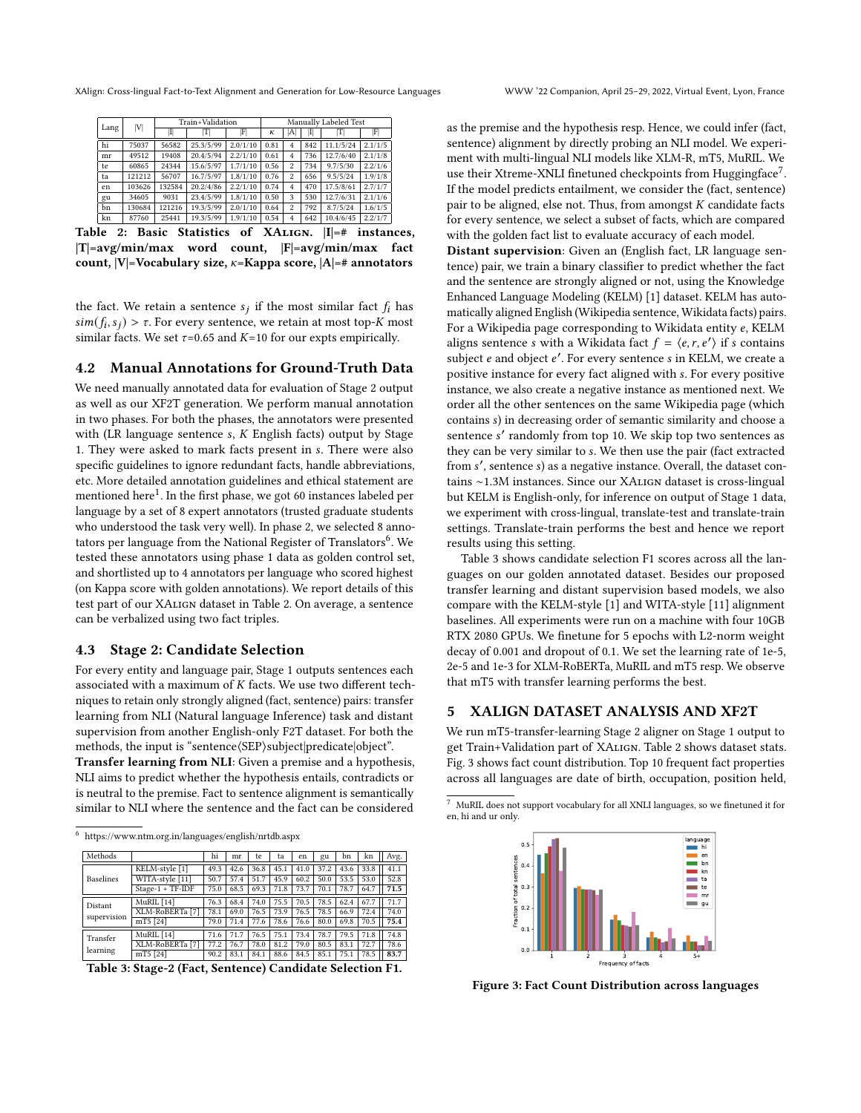<span id="page-2-0"></span>

| Lang | V      | Train+Validation | Manually Labeled Test |          |      |                |     |           |         |
|------|--------|------------------|-----------------------|----------|------|----------------|-----|-----------|---------|
|      |        | П                | IΤl                   | F        | κ    | A              | I   |           | F       |
| hi   | 75037  | 56582            | 25.3/5/99             | 2.0/1/10 | 0.81 | 4              | 842 | 11.1/5/24 | 2.1/1/5 |
| mr   | 49512  | 19408            | 20.4/5/94             | 2.2/1/10 | 0.61 | $\overline{4}$ | 736 | 12.7/6/40 | 2.1/1/8 |
| te   | 60865  | 24344            | 15.6/5/97             | 1.7/1/10 | 0.56 | $\mathfrak{p}$ | 734 | 9.7/5/30  | 2.2/1/6 |
| ta   | 121212 | 56707            | 16.7/5/97             | 1.8/1/10 | 0.76 | $\mathfrak{p}$ | 656 | 9.5/5/24  | 1.9/1/8 |
| en   | 103626 | 132584           | 20.2/4/86             | 2.2/1/10 | 0.74 | $\overline{4}$ | 470 | 17.5/8/61 | 2.7/1/7 |
| gu   | 34605  | 9031             | 23.4/5/99             | 1.8/1/10 | 0.50 | 3              | 530 | 12.7/6/31 | 2.1/1/6 |
| bn   | 130684 | 121216           | 19.3/5/99             | 2.0/1/10 | 0.64 | $\mathfrak{p}$ | 792 | 8.7/5/24  | 1.6/1/5 |
| kn   | 87760  | 25441            | 19.3/5/99             | 1.9/1/10 | 0.54 | $\overline{4}$ | 642 | 10.4/6/45 | 2.2/1/7 |

Table 2: Basic Statistics of XAlign. |I|=# instances, |T|=avg/min/max word count, |F|=avg/min/max fact count,  $|V|=V$ ocabulary size,  $\kappa=K$ appa score,  $|A|=$ # annotators

the fact. We retain a sentence  $s_j$  if the most similar fact  $f_i$  has  $\mathit{sim}(f_i, s_j) > \tau$ . For every sentence, we retain at most top-K most similar facts. We set  $\tau$ =0.65 and K=10 for our expts empirically.

## 4.2 Manual Annotations for Ground-Truth Data

We need manually annotated data for evaluation of Stage 2 output as well as our XF2T generation. We perform manual annotation in two phases. For both the phases, the annotators were presented with (LR language sentence  $s$ ,  $K$  English facts) output by Stage 1. They were asked to mark facts present in s. There were also specific guidelines to ignore redundant facts, handle abbreviations, etc. More detailed annotation guidelines and ethical statement are mentioned here<sup>[1](#page-0-1)</sup>. In the first phase, we got 60 instances labeled per language by a set of 8 expert annotators (trusted graduate students who understood the task very well). In phase 2, we selected 8 annotators per language from the National Register of Translators $^6$  $^6$ . We tested these annotators using phase 1 data as golden control set, and shortlisted up to 4 annotators per language who scored highest (on Kappa score with golden annotations). We report details of this test part of our XAlign dataset in Table [2.](#page-2-0) On average, a sentence can be verbalized using two fact triples.

#### 4.3 Stage 2: Candidate Selection

For every entity and language pair, Stage 1 outputs sentences each associated with a maximum of  $K$  facts. We use two different techniques to retain only strongly aligned (fact, sentence) pairs: transfer learning from NLI (Natural language Inference) task and distant supervision from another English-only F2T dataset. For both the methods, the input is "sentence (SEP) subject predicate object".

Transfer learning from NLI: Given a premise and a hypothesis, NLI aims to predict whether the hypothesis entails, contradicts or is neutral to the premise. Fact to sentence alignment is semantically similar to NLI where the sentence and the fact can be considered

<sup>6</sup> <https://www.ntm.org.in/languages/english/nrtdb.aspx>

<span id="page-2-1"></span>

| Methods          |                            | hi   | mr   | te   | ta   | en   | gu   | bn   | kn   | Avg. |
|------------------|----------------------------|------|------|------|------|------|------|------|------|------|
|                  | KELM-style [1]             | 49.3 | 42.6 | 36.8 | 45.1 | 41.0 | 37.2 | 43.6 | 33.8 | 41.1 |
| <b>Baselines</b> | WITA-style [11]            | 50.7 | 57.4 | 51.7 | 45.9 | 60.2 | 50.0 | 53.5 | 53.0 | 52.8 |
|                  | $Stage-1 + TF-IDF$         | 75.0 | 68.5 | 69.3 | 71.8 | 73.7 | 70.1 | 78.7 | 64.7 | 71.5 |
| Distant          | MuRIL [14]                 | 76.3 | 68.4 | 74.0 | 75.5 | 70.5 | 78.5 | 62.4 | 67.7 | 71.7 |
|                  | XLM-RoBERTa <sup>[7]</sup> | 78.1 | 69.0 | 76.5 | 73.9 | 76.5 | 78.5 | 66.9 | 72.4 | 74.0 |
| supervision      | mT5 [24]                   | 79.0 | 71.4 | 77.6 | 78.6 | 76.6 | 80.0 | 69.8 | 70.5 | 75.4 |
| Transfer         | MuRIL [14]                 | 71.6 | 71.7 | 76.5 | 75.1 | 73.4 | 78.7 | 79.5 | 71.8 | 74.8 |
|                  | XLM-RoBERTa <sup>[7]</sup> | 77.2 | 76.7 | 78.0 | 81.2 | 79.0 | 80.5 | 83.1 | 72.7 | 78.6 |
| learning         | mT5 [24]                   | 90.2 | 83.1 | 84.1 | 88.6 | 84.5 | 85.1 | 75.1 | 78.5 | 83.7 |

Table 3: Stage-2 (Fact, Sentence) Candidate Selection F1.

as the premise and the hypothesis resp. Hence, we could infer (fact, sentence) alignment by directly probing an NLI model. We experiment with multi-lingual NLI models like XLM-R, mT5, MuRIL. We use their Xtreme-XNLI finetuned checkpoints from Huggingface<sup>[7](#page-0-2)</sup>. If the model predicts entailment, we consider the (fact, sentence) pair to be aligned, else not. Thus, from amongst  $K$  candidate facts for every sentence, we select a subset of facts, which are compared with the golden fact list to evaluate accuracy of each model.

Distant supervision: Given an (English fact, LR language sentence) pair, we train a binary classifier to predict whether the fact and the sentence are strongly aligned or not, using the Knowledge Enhanced Language Modeling (KELM) [\[1\]](#page-3-4) dataset. KELM has automatically aligned English (Wikipedia sentence, Wikidata facts) pairs. For a Wikipedia page corresponding to Wikidata entity  $e$ , KELM aligns sentence *s* with a Wikidata fact  $f = \langle e, r, e' \rangle$  if *s* contains subject e and object e'. For every sentence s in KELM, we create a positive instance for every fact aligned with s. For every positive instance, we also create a negative instance as mentioned next. We order all the other sentences on the same Wikipedia page (which contains s) in decreasing order of semantic similarity and choose a sentence s' randomly from top 10. We skip top two sentences as they can be very similar to s. We then use the pair (fact extracted from s', sentence s) as a negative instance. Overall, the dataset contains ∼1.3M instances. Since our XAlign dataset is cross-lingual but KELM is English-only, for inference on output of Stage 1 data, we experiment with cross-lingual, translate-test and translate-train settings. Translate-train performs the best and hence we report results using this setting.

Table [3](#page-2-1) shows candidate selection F1 scores across all the languages on our golden annotated dataset. Besides our proposed transfer learning and distant supervision based models, we also compare with the KELM-style [\[1\]](#page-3-4) and WITA-style [\[11\]](#page-3-5) alignment baselines. All experiments were run on a machine with four 10GB RTX 2080 GPUs. We finetune for 5 epochs with L2-norm weight decay of 0.001 and dropout of 0.1. We set the learning rate of 1e-5, 2e-5 and 1e-3 for XLM-RoBERTa, MuRIL and mT5 resp. We observe that mT5 with transfer learning performs the best.

## 5 XALIGN DATASET ANALYSIS AND XF2T

We run mT5-transfer-learning Stage 2 aligner on Stage 1 output to get Train+Validation part of XAlign. Table [2](#page-2-0) shows dataset stats. Fig. [3](#page-2-2) shows fact count distribution. Top 10 frequent fact properties across all languages are date of birth, occupation, position held,

<span id="page-2-2"></span> $^7\,$  MuRIL does not support vocabulary for all XNLI languages, so we finetuned it for en, hi and ur only.



Figure 3: Fact Count Distribution across languages